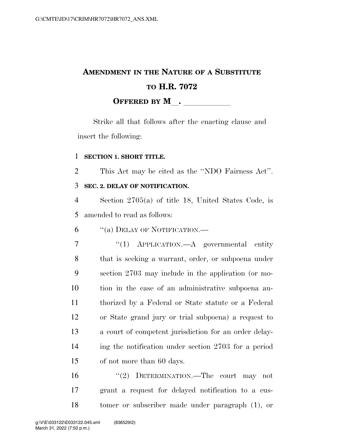## **AMENDMENT IN THE NATURE OF A SUBSTITUTE TO H.R. 7072 OFFERED BY M**.

Strike all that follows after the enacting clause and insert the following:

## **SECTION 1. SHORT TITLE.**

This Act may be cited as the ''NDO Fairness Act''.

## **SEC. 2. DELAY OF NOTIFICATION.**

 Section 2705(a) of title 18, United States Code, is amended to read as follows:

''(a) DELAY OF NOTIFICATION.—

 ''(1) APPLICATION.—A governmental entity that is seeking a warrant, order, or subpoena under section 2703 may include in the application (or mo- tion in the case of an administrative subpoena au- thorized by a Federal or State statute or a Federal or State grand jury or trial subpoena) a request to a court of competent jurisdiction for an order delay- ing the notification under section 2703 for a period of not more than 60 days.

 ''(2) DETERMINATION.—The court may not grant a request for delayed notification to a cus-tomer or subscriber made under paragraph (1), or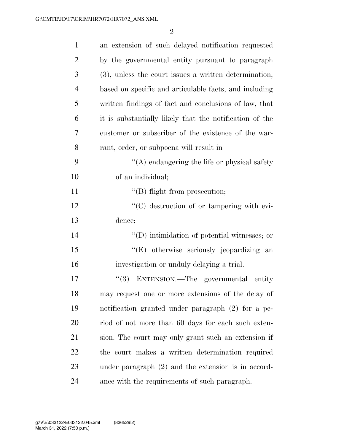| $\mathbf{1}$   | an extension of such delayed notification requested     |
|----------------|---------------------------------------------------------|
| $\overline{2}$ | by the governmental entity pursuant to paragraph        |
| 3              | (3), unless the court issues a written determination,   |
| $\overline{4}$ | based on specific and articulable facts, and including  |
| 5              | written findings of fact and conclusions of law, that   |
| 6              | it is substantially likely that the notification of the |
| 7              | customer or subscriber of the existence of the war-     |
| 8              | rant, order, or subpoena will result in—                |
| 9              | $\lq\lq$ endangering the life or physical safety        |
| 10             | of an individual;                                       |
| 11             | $\lq\lq$ flight from prosecution;                       |
| 12             | $\lq\lq$ destruction of or tampering with evi-          |
| 13             | dence;                                                  |
| 14             | $\lq\lq$ (D) intimidation of potential witnesses; or    |
| 15             | "(E) otherwise seriously jeopardizing an                |
| 16             | investigation or unduly delaying a trial.               |
| 17             | (3)<br>EXTENSION.—The governmental entity               |
| 18             | may request one or more extensions of the delay of      |
| 19             | notification granted under paragraph (2) for a pe-      |
| 20             | riod of not more than 60 days for each such exten-      |
| 21             | sion. The court may only grant such an extension if     |
| <u>22</u>      | the court makes a written determination required        |
| 23             | under paragraph $(2)$ and the extension is in accord-   |
| 24             | ance with the requirements of such paragraph.           |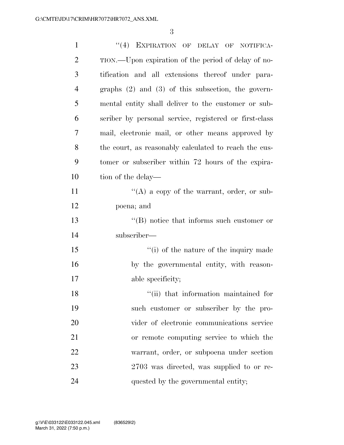| $\mathbf{1}$   | "(4) EXPIRATION OF DELAY OF NOTIFICA-                  |
|----------------|--------------------------------------------------------|
| $\overline{c}$ | TION.—Upon expiration of the period of delay of no-    |
| 3              | tification and all extensions thereof under para-      |
| $\overline{4}$ | graphs $(2)$ and $(3)$ of this subsection, the govern- |
| 5              | mental entity shall deliver to the customer or sub-    |
| 6              | scriber by personal service, registered or first-class |
| 7              | mail, electronic mail, or other means approved by      |
| 8              | the court, as reasonably calculated to reach the cus-  |
| 9              | tomer or subscriber within 72 hours of the expira-     |
| 10             | tion of the delay—                                     |
| 11             | $\lq\lq(A)$ a copy of the warrant, order, or sub-      |
| 12             | poena; and                                             |
| 13             | $\lq\lq$ notice that informs such customer or          |
| 14             | subscriber—                                            |
| 15             | "(i) of the nature of the inquiry made                 |
| 16             | by the governmental entity, with reason-               |
| 17             | able specificity;                                      |
| 18             | "(ii) that information maintained for                  |
| 19             | such customer or subscriber by the pro-                |
| 20             | vider of electronic communications service             |
| 21             | or remote computing service to which the               |
| 22             | warrant, order, or subpoena under section              |
| 23             | 2703 was directed, was supplied to or re-              |
| 24             | quested by the governmental entity;                    |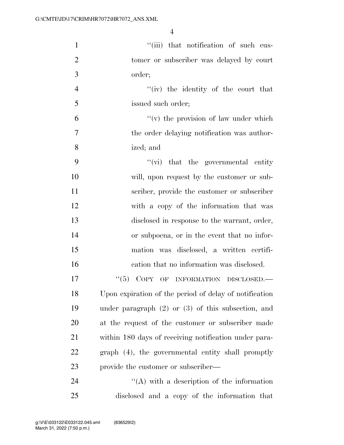| $\mathbf{1}$   | "(iii) that notification of such cus-                  |
|----------------|--------------------------------------------------------|
| $\overline{2}$ | tomer or subscriber was delayed by court               |
| 3              | order;                                                 |
| $\overline{4}$ | "(iv) the identity of the court that                   |
| 5              | issued such order;                                     |
| 6              | $f'(v)$ the provision of law under which               |
| $\overline{7}$ | the order delaying notification was author-            |
| 8              | ized; and                                              |
| 9              | $\lq\lq$ (vi) that the governmental entity             |
| 10             | will, upon request by the customer or sub-             |
| 11             | scriber, provide the customer or subscriber            |
| 12             | with a copy of the information that was                |
| 13             | disclosed in response to the warrant, order,           |
| 14             | or subpoena, or in the event that no infor-            |
| 15             | mation was disclosed, a written certifi-               |
| 16             | cation that no information was disclosed.              |
| 17             | ``(5)<br>COPY OF INFORMATION DISCLOSED.                |
| 18             | Upon expiration of the period of delay of notification |
| 19             | under paragraph $(2)$ or $(3)$ of this subsection, and |
| 20             | at the request of the customer or subscriber made      |
| 21             | within 180 days of receiving notification under para-  |
| 22             | graph (4), the governmental entity shall promptly      |
| 23             | provide the customer or subscriber—                    |
| 24             | $\lq\lq$ with a description of the information         |
| 25             | disclosed and a copy of the information that           |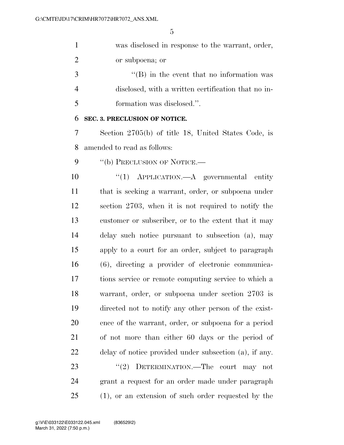| $\mathbf{1}$   | was disclosed in response to the warrant, order,       |
|----------------|--------------------------------------------------------|
| $\overline{2}$ | or subpoena; or                                        |
| 3              | $\lq\lq (B)$ in the event that no information was      |
| $\overline{4}$ | disclosed, with a written certification that no in-    |
| 5              | formation was disclosed.".                             |
| 6              | SEC. 3. PRECLUSION OF NOTICE.                          |
| 7              | Section 2705(b) of title 18, United States Code, is    |
| 8              | amended to read as follows:                            |
| 9              | "(b) PRECLUSION OF NOTICE.—                            |
| 10             | APPLICATION.—A governmental entity<br>``(1)            |
| <sup>11</sup>  | that is seeking a warrant, order, or subpoena under    |
| 12             | section 2703, when it is not required to notify the    |
| 13             | customer or subscriber, or to the extent that it may   |
| 14             | delay such notice pursuant to subsection (a), may      |
| 15             | apply to a court for an order, subject to paragraph    |
| 16             | (6), directing a provider of electronic communica-     |
| 17             | tions service or remote computing service to which a   |
| 18             | warrant, order, or subpoena under section 2703 is      |
| 19             | directed not to notify any other person of the exist-  |
| 20             | ence of the warrant, order, or subpoena for a period   |
| 21             | of not more than either 60 days or the period of       |
| 22             | delay of notice provided under subsection (a), if any. |
| 23             | DETERMINATION.—The court may not<br>(2)                |
| 24             | grant a request for an order made under paragraph      |
| 25             | $(1)$ , or an extension of such order requested by the |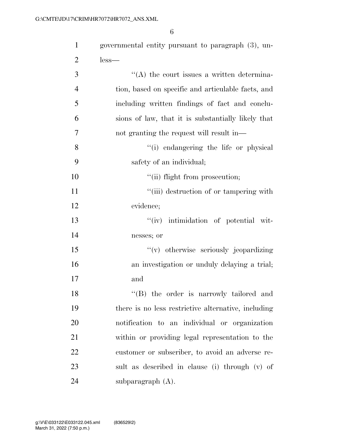| $\mathbf{1}$   | governmental entity pursuant to paragraph (3), un-  |
|----------------|-----------------------------------------------------|
| $\overline{2}$ | $less-$                                             |
| 3              | $\lq\lq$ the court issues a written determina-      |
| $\overline{4}$ | tion, based on specific and articulable facts, and  |
| 5              | including written findings of fact and conclu-      |
| 6              | sions of law, that it is substantially likely that  |
| 7              | not granting the request will result in—            |
| 8              | "(i) endangering the life or physical               |
| 9              | safety of an individual;                            |
| 10             | "(ii) flight from prosecution;                      |
| 11             | "(iii) destruction of or tampering with             |
| 12             | evidence;                                           |
| 13             | "(iv) intimidation of potential wit-                |
| 14             | nesses; or                                          |
| 15             | "(v) otherwise seriously jeopardizing               |
| 16             | an investigation or unduly delaying a trial;        |
| 17             | and                                                 |
| 18             | "(B) the order is narrowly tailored and             |
| 19             | there is no less restrictive alternative, including |
| 20             | notification to an individual or organization       |
| 21             | within or providing legal representation to the     |
| 22             | customer or subscriber, to avoid an adverse re-     |
| 23             | sult as described in clause (i) through (v) of      |
| 24             | subparagraph $(A)$ .                                |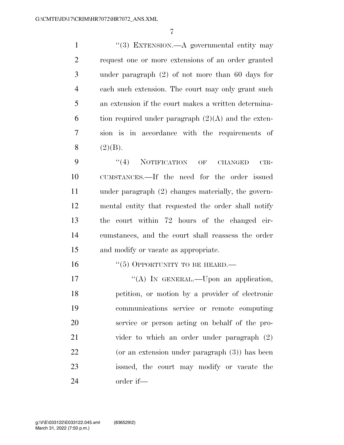1 ''(3) EXTENSION.—A governmental entity may request one or more extensions of an order granted under paragraph (2) of not more than 60 days for each such extension. The court may only grant such an extension if the court makes a written determina-6 tion required under paragraph  $(2)(A)$  and the exten- sion is in accordance with the requirements of 8  $(2)(B)$ .

9 "(4) NOTIFICATION OF CHANGED CIR- CUMSTANCES.—If the need for the order issued under paragraph (2) changes materially, the govern- mental entity that requested the order shall notify the court within 72 hours of the changed cir- cumstances, and the court shall reassess the order and modify or vacate as appropriate.

16 "(5) OPPORTUNITY TO BE HEARD.—

17 "'(A) IN GENERAL.—Upon an application, petition, or motion by a provider of electronic communications service or remote computing service or person acting on behalf of the pro-21 vider to which an order under paragraph  $(2)$  (or an extension under paragraph (3)) has been issued, the court may modify or vacate the order if—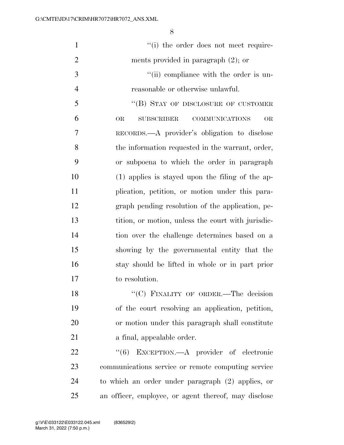| $\mathbf{1}$   | "(i) the order does not meet require-                                |
|----------------|----------------------------------------------------------------------|
| $\overline{2}$ | ments provided in paragraph $(2)$ ; or                               |
| 3              | "(ii) compliance with the order is un-                               |
| $\overline{4}$ | reasonable or otherwise unlawful.                                    |
| 5              | "(B) STAY OF DISCLOSURE OF CUSTOMER                                  |
| 6              | <b>COMMUNICATIONS</b><br><b>OR</b><br><b>SUBSCRIBER</b><br><b>OR</b> |
| 7              | RECORDS.—A provider's obligation to disclose                         |
| 8              | the information requested in the warrant, order,                     |
| 9              | or subpoena to which the order in paragraph                          |
| 10             | $(1)$ applies is stayed upon the filing of the ap-                   |
| 11             | plication, petition, or motion under this para-                      |
| 12             | graph pending resolution of the application, pe-                     |
| 13             | tition, or motion, unless the court with jurisdic-                   |
| 14             | tion over the challenge determines based on a                        |
| 15             | showing by the governmental entity that the                          |
| 16             | stay should be lifted in whole or in part prior                      |
| 17             | to resolution.                                                       |
| 18             | "(C) FINALITY OF ORDER.-The decision                                 |
| 19             | of the court resolving an application, petition,                     |
| 20             | or motion under this paragraph shall constitute                      |
| 21             | a final, appealable order.                                           |
| 22             | EXCEPTION.—A provider of electronic<br>(6)                           |
| 23             | communications service or remote computing service                   |
| 24             | to which an order under paragraph (2) applies, or                    |
| 25             | an officer, employee, or agent thereof, may disclose                 |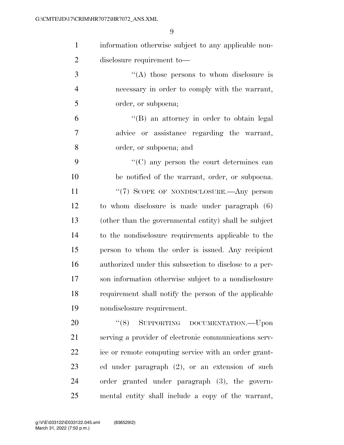| information otherwise subject to any applicable non- |
|------------------------------------------------------|
| disclosure requirement to-                           |

3  $\langle (A) \rangle$  those persons to whom disclosure is necessary in order to comply with the warrant, order, or subpoena;

 ''(B) an attorney in order to obtain legal advice or assistance regarding the warrant, order, or subpoena; and

 ''(C) any person the court determines can be notified of the warrant, order, or subpoena. 11 "(7) SCOPE OF NONDISCLOSURE.—Any person to whom disclosure is made under paragraph (6) (other than the governmental entity) shall be subject to the nondisclosure requirements applicable to the person to whom the order is issued. Any recipient authorized under this subsection to disclose to a per- son information otherwise subject to a nondisclosure requirement shall notify the person of the applicable nondisclosure requirement.

20 "(8) SUPPORTING DOCUMENTATION.—Upon serving a provider of electronic communications serv- ice or remote computing service with an order grant- ed under paragraph (2), or an extension of such order granted under paragraph (3), the govern-mental entity shall include a copy of the warrant,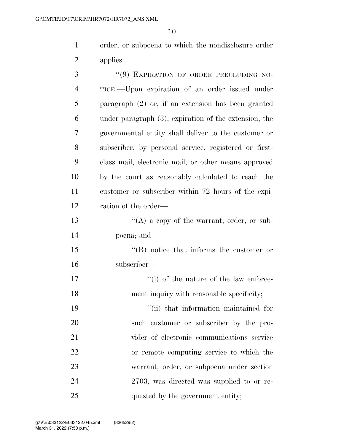order, or subpoena to which the nondisclosure order applies.

| 3              | "(9) EXPIRATION OF ORDER PRECLUDING NO-                  |
|----------------|----------------------------------------------------------|
| $\overline{4}$ | TICE.—Upon expiration of an order issued under           |
| 5              | paragraph $(2)$ or, if an extension has been granted     |
| 6              | under paragraph $(3)$ , expiration of the extension, the |
| 7              | governmental entity shall deliver to the customer or     |
| 8              | subscriber, by personal service, registered or first-    |
| 9              | class mail, electronic mail, or other means approved     |
| 10             | by the court as reasonably calculated to reach the       |
| 11             | customer or subscriber within 72 hours of the expi-      |
| 12             | ration of the order—                                     |
| 13             | "(A) a copy of the warrant, order, or sub-               |
| 14             | poena; and                                               |
| 15             | $\lq\lq (B)$ notice that informs the customer or         |
| 16             | subscriber—                                              |
| 17             | "(i) of the nature of the law enforce-                   |
| 18             | ment inquiry with reasonable specificity;                |
| 19             | "(ii) that information maintained for                    |
| 20             | such customer or subscriber by the pro-                  |
| 21             | vider of electronic communications service               |
| 22             | or remote computing service to which the                 |
| 23             | warrant, order, or subpoena under section                |
| 24             | 2703, was directed was supplied to or re-                |
| 25             | quested by the government entity;                        |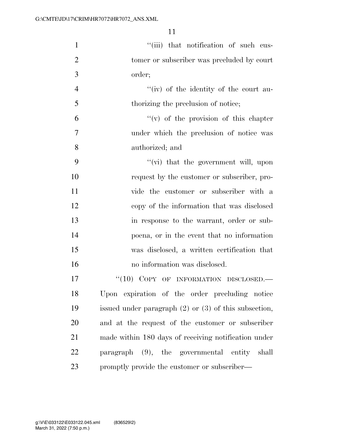| $\mathbf{1}$   | "(iii) that notification of such cus-                     |
|----------------|-----------------------------------------------------------|
| $\overline{2}$ | tomer or subscriber was precluded by court                |
| 3              | order;                                                    |
| $\overline{4}$ | "(iv) of the identity of the court au-                    |
| 5              | thorizing the preclusion of notice;                       |
| 6              | $f'(v)$ of the provision of this chapter                  |
| $\overline{7}$ | under which the preclusion of notice was                  |
| 8              | authorized; and                                           |
| 9              | "(vi) that the government will, upon                      |
| 10             | request by the customer or subscriber, pro-               |
| 11             | vide the customer or subscriber with a                    |
| 12             | copy of the information that was disclosed                |
| 13             | in response to the warrant, order or sub-                 |
| 14             | poena, or in the event that no information                |
| 15             | was disclosed, a written certification that               |
| 16             | no information was disclosed.                             |
| 17             | "(10) COPY OF INFORMATION DISCLOSED.                      |
| 18             | Upon expiration of the order precluding notice            |
| 19             | issued under paragraph $(2)$ or $(3)$ of this subsection, |
| 20             | and at the request of the customer or subscriber          |
| 21             | made within 180 days of receiving notification under      |
| 22             | paragraph (9), the governmental entity shall              |
| 23             | promptly provide the customer or subscriber—              |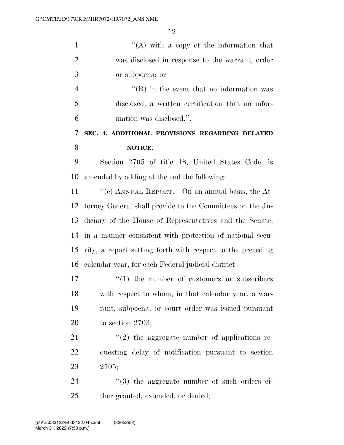| $\mathbf{1}$   | "(A) with a copy of the information that                   |
|----------------|------------------------------------------------------------|
| $\overline{2}$ | was disclosed in response to the warrant, order            |
| 3              | or subpoena; or                                            |
| $\overline{4}$ | $\lq\lq (B)$ in the event that no information was          |
| 5              | disclosed, a written certification that no infor-          |
| 6              | mation was disclosed.".                                    |
| 7              | SEC. 4. ADDITIONAL PROVISIONS REGARDING DELAYED            |
| 8              | NOTICE.                                                    |
| 9              | Section 2705 of title 18, United States Code, is           |
| 10             | amended by adding at the end the following:                |
| 11             | "(c) ANNUAL REPORT.—On an annual basis, the At-            |
| 12             | torney General shall provide to the Committees on the Ju-  |
| 13             | diciary of the House of Representatives and the Senate,    |
| 14             | in a manner consistent with protection of national secu-   |
| 15             | rity, a report setting forth with respect to the preceding |
| 16             | calendar year, for each Federal judicial district—         |
| 17             | $\cdot$ (1) the number of customers or subscribers         |
| 18             | with respect to whom, in that calendar year, a war-        |
| 19             | rant, subpoena, or court order was issued pursuant         |
| 20             | to section $2703$ ;                                        |
| 21             | $\lq(2)$ the aggregate number of applications re-          |
| 22             | questing delay of notification pursuant to section         |
| 23             | 2705;                                                      |
| 24             | "(3) the aggregate number of such orders ei-               |
| 25             | ther granted, extended, or denied;                         |